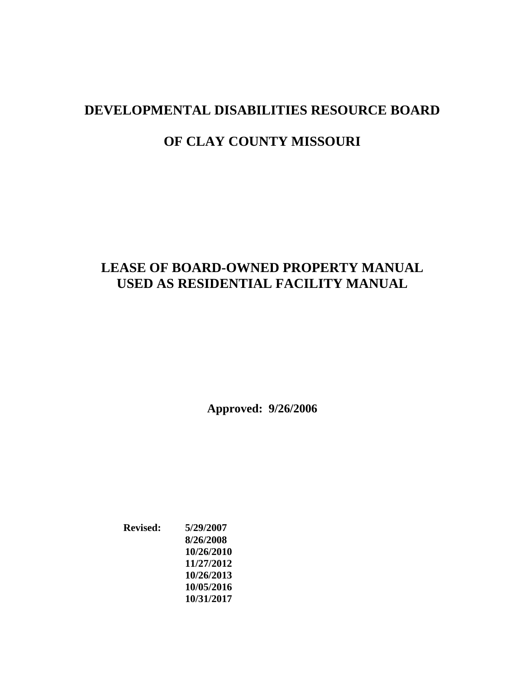# **LEASE OF BOARD-OWNED PROPERTY MANUAL USED AS RESIDENTIAL FACILITY MANUAL**

**Approved: 9/26/2006**

**Revised: 5/29/2007 8/26/2008 10/26/2010 11/27/2012 10/26/2013 10/05/2016 10/31/2017**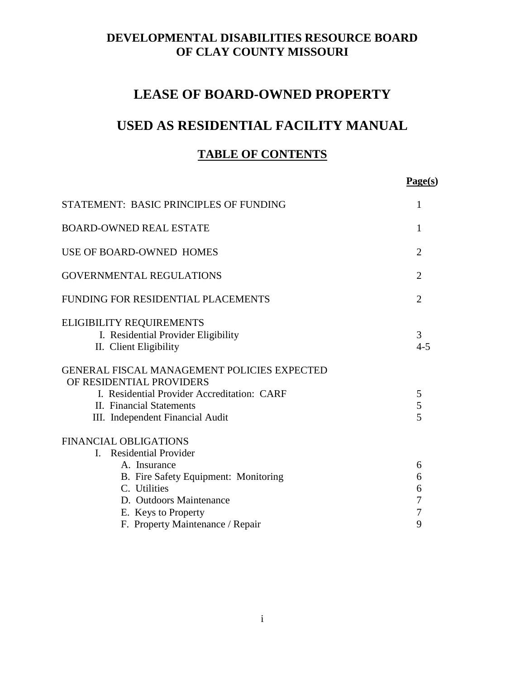# **LEASE OF BOARD-OWNED PROPERTY**

# **USED AS RESIDENTIAL FACILITY MANUAL**

# **TABLE OF CONTENTS**

|                                                                                                                                                                                                                                           | Page(s)                                              |
|-------------------------------------------------------------------------------------------------------------------------------------------------------------------------------------------------------------------------------------------|------------------------------------------------------|
| STATEMENT: BASIC PRINCIPLES OF FUNDING                                                                                                                                                                                                    | 1                                                    |
| <b>BOARD-OWNED REAL ESTATE</b>                                                                                                                                                                                                            | 1                                                    |
| USE OF BOARD-OWNED HOMES                                                                                                                                                                                                                  | $\overline{2}$                                       |
| <b>GOVERNMENTAL REGULATIONS</b>                                                                                                                                                                                                           | $\overline{2}$                                       |
| FUNDING FOR RESIDENTIAL PLACEMENTS                                                                                                                                                                                                        | $\overline{2}$                                       |
| <b>ELIGIBILITY REQUIREMENTS</b><br>I. Residential Provider Eligibility<br>II. Client Eligibility                                                                                                                                          | 3<br>$4 - 5$                                         |
| <b>GENERAL FISCAL MANAGEMENT POLICIES EXPECTED</b><br>OF RESIDENTIAL PROVIDERS<br>I. Residential Provider Accreditation: CARF<br>II. Financial Statements<br>III. Independent Financial Audit                                             | 5<br>5<br>5                                          |
| <b>FINANCIAL OBLIGATIONS</b><br><b>Residential Provider</b><br>$\mathbf{I}$<br>A. Insurance<br>B. Fire Safety Equipment: Monitoring<br>C. Utilities<br>D. Outdoors Maintenance<br>E. Keys to Property<br>F. Property Maintenance / Repair | 6<br>6<br>6<br>$\overline{7}$<br>$\overline{7}$<br>9 |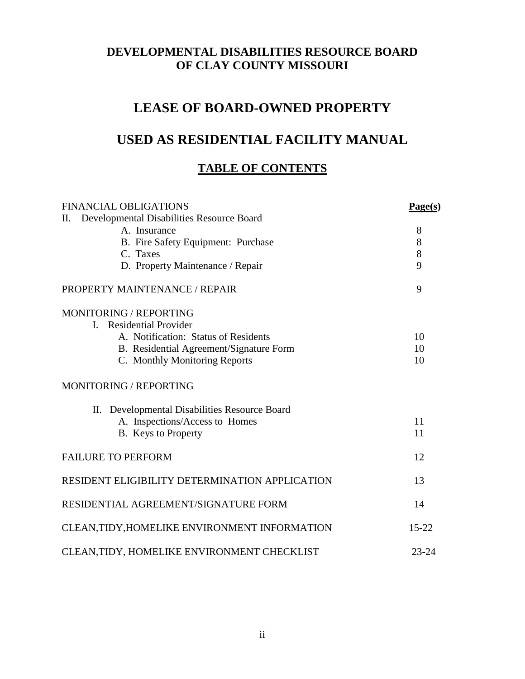# **LEASE OF BOARD-OWNED PROPERTY**

# **USED AS RESIDENTIAL FACILITY MANUAL**

# **TABLE OF CONTENTS**

| <b>FINANCIAL OBLIGATIONS</b>                    | Page(s)   |
|-------------------------------------------------|-----------|
| Π.<br>Developmental Disabilities Resource Board |           |
| A. Insurance                                    | 8         |
| B. Fire Safety Equipment: Purchase              | 8         |
| C. Taxes                                        | 8         |
| D. Property Maintenance / Repair                | 9         |
| PROPERTY MAINTENANCE / REPAIR                   | 9         |
| MONITORING / REPORTING                          |           |
| <b>Residential Provider</b><br>$\mathbf{L}$     |           |
| A. Notification: Status of Residents            | 10        |
| B. Residential Agreement/Signature Form         | 10        |
| C. Monthly Monitoring Reports                   | 10        |
| MONITORING / REPORTING                          |           |
| II. Developmental Disabilities Resource Board   |           |
| A. Inspections/Access to Homes                  | 11        |
| B. Keys to Property                             | 11        |
| <b>FAILURE TO PERFORM</b>                       | 12        |
| RESIDENT ELIGIBILITY DETERMINATION APPLICATION  | 13        |
| RESIDENTIAL AGREEMENT/SIGNATURE FORM            | 14        |
| CLEAN, TIDY, HOMELIKE ENVIRONMENT INFORMATION   | $15 - 22$ |
| CLEAN, TIDY, HOMELIKE ENVIRONMENT CHECKLIST     | $23 - 24$ |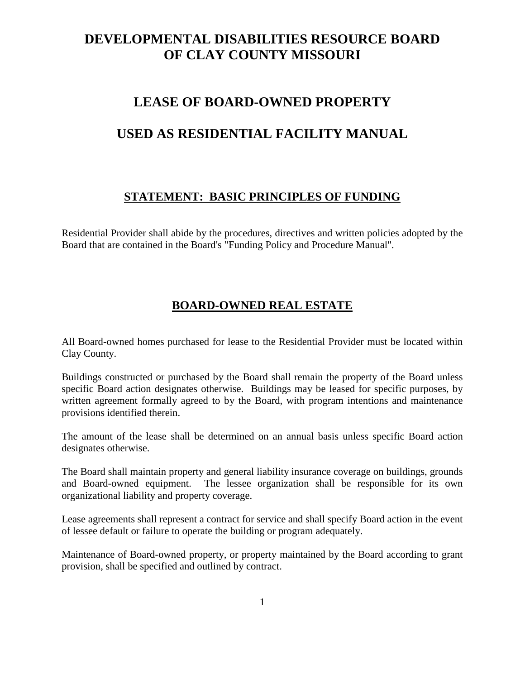# **LEASE OF BOARD-OWNED PROPERTY**

# **USED AS RESIDENTIAL FACILITY MANUAL**

### **STATEMENT: BASIC PRINCIPLES OF FUNDING**

Residential Provider shall abide by the procedures, directives and written policies adopted by the Board that are contained in the Board's "Funding Policy and Procedure Manual".

# **BOARD-OWNED REAL ESTATE**

All Board-owned homes purchased for lease to the Residential Provider must be located within Clay County.

Buildings constructed or purchased by the Board shall remain the property of the Board unless specific Board action designates otherwise. Buildings may be leased for specific purposes, by written agreement formally agreed to by the Board, with program intentions and maintenance provisions identified therein.

The amount of the lease shall be determined on an annual basis unless specific Board action designates otherwise.

The Board shall maintain property and general liability insurance coverage on buildings, grounds and Board-owned equipment. The lessee organization shall be responsible for its own organizational liability and property coverage.

Lease agreements shall represent a contract for service and shall specify Board action in the event of lessee default or failure to operate the building or program adequately.

Maintenance of Board-owned property, or property maintained by the Board according to grant provision, shall be specified and outlined by contract.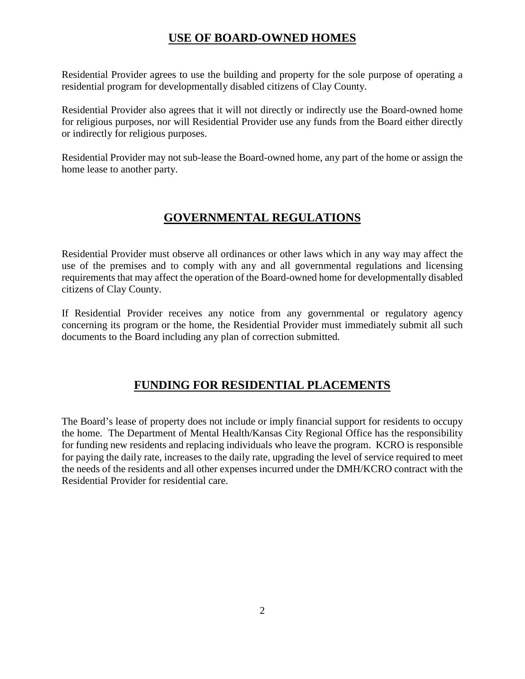# **USE OF BOARD-OWNED HOMES**

Residential Provider agrees to use the building and property for the sole purpose of operating a residential program for developmentally disabled citizens of Clay County.

Residential Provider also agrees that it will not directly or indirectly use the Board-owned home for religious purposes, nor will Residential Provider use any funds from the Board either directly or indirectly for religious purposes.

Residential Provider may not sub-lease the Board-owned home, any part of the home or assign the home lease to another party.

# **GOVERNMENTAL REGULATIONS**

Residential Provider must observe all ordinances or other laws which in any way may affect the use of the premises and to comply with any and all governmental regulations and licensing requirements that may affect the operation of the Board-owned home for developmentally disabled citizens of Clay County.

If Residential Provider receives any notice from any governmental or regulatory agency concerning its program or the home, the Residential Provider must immediately submit all such documents to the Board including any plan of correction submitted.

# **FUNDING FOR RESIDENTIAL PLACEMENTS**

The Board's lease of property does not include or imply financial support for residents to occupy the home. The Department of Mental Health/Kansas City Regional Office has the responsibility for funding new residents and replacing individuals who leave the program. KCRO is responsible for paying the daily rate, increases to the daily rate, upgrading the level of service required to meet the needs of the residents and all other expenses incurred under the DMH/KCRO contract with the Residential Provider for residential care.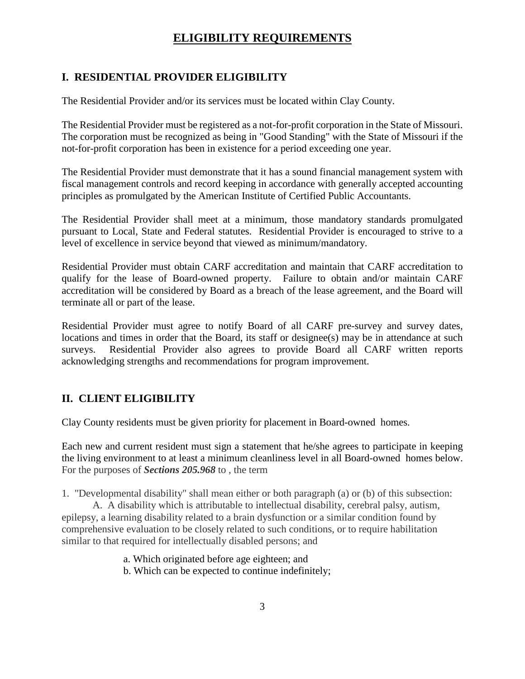# **ELIGIBILITY REQUIREMENTS**

#### **I. RESIDENTIAL PROVIDER ELIGIBILITY**

The Residential Provider and/or its services must be located within Clay County.

The Residential Provider must be registered as a not-for-profit corporation in the State of Missouri. The corporation must be recognized as being in "Good Standing" with the State of Missouri if the not-for-profit corporation has been in existence for a period exceeding one year.

The Residential Provider must demonstrate that it has a sound financial management system with fiscal management controls and record keeping in accordance with generally accepted accounting principles as promulgated by the American Institute of Certified Public Accountants.

The Residential Provider shall meet at a minimum, those mandatory standards promulgated pursuant to Local, State and Federal statutes. Residential Provider is encouraged to strive to a level of excellence in service beyond that viewed as minimum/mandatory.

Residential Provider must obtain CARF accreditation and maintain that CARF accreditation to qualify for the lease of Board-owned property. Failure to obtain and/or maintain CARF accreditation will be considered by Board as a breach of the lease agreement, and the Board will terminate all or part of the lease.

Residential Provider must agree to notify Board of all CARF pre-survey and survey dates, locations and times in order that the Board, its staff or designee(s) may be in attendance at such surveys. Residential Provider also agrees to provide Board all CARF written reports acknowledging strengths and recommendations for program improvement.

### **II. CLIENT ELIGIBILITY**

Clay County residents must be given priority for placement in Board-owned homes.

Each new and current resident must sign a statement that he/she agrees to participate in keeping the living environment to at least a minimum cleanliness level in all Board-owned homes below. For the purposes of *Sections 205.968* to , the term

1. "Developmental disability" shall mean either or both paragraph (a) or (b) of this subsection:

A. A disability which is attributable to intellectual disability, cerebral palsy, autism, epilepsy, a learning disability related to a brain dysfunction or a similar condition found by comprehensive evaluation to be closely related to such conditions, or to require habilitation similar to that required for intellectually disabled persons; and

a. Which originated before age eighteen; and

b. Which can be expected to continue indefinitely;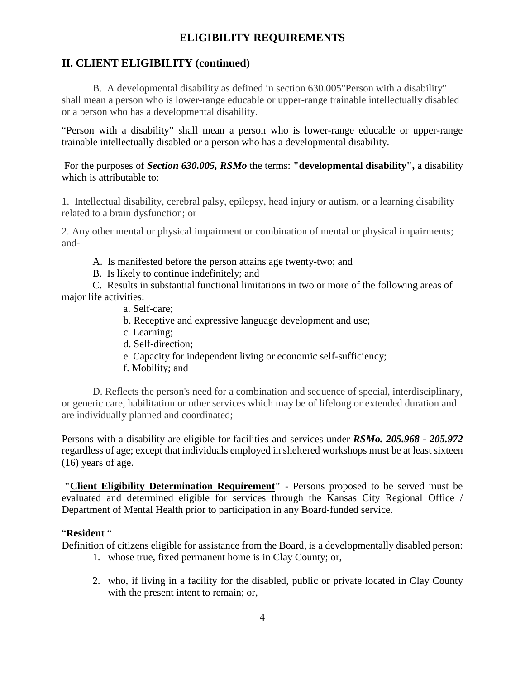# **ELIGIBILITY REQUIREMENTS**

# **II. CLIENT ELIGIBILITY (continued)**

B. A developmental disability as defined in section 630.005"Person with a disability" shall mean a person who is lower-range educable or upper-range trainable intellectually disabled or a person who has a developmental disability.

"Person with a disability" shall mean a person who is lower-range educable or upper-range trainable intellectually disabled or a person who has a developmental disability.

For the purposes of *Section 630.005, RSMo* the terms: **"developmental disability",** a disability which is attributable to:

1. Intellectual disability, cerebral palsy, epilepsy, head injury or autism, or a learning disability related to a brain dysfunction; or

2. Any other mental or physical impairment or combination of mental or physical impairments; and-

A. Is manifested before the person attains age twenty-two; and

B. Is likely to continue indefinitely; and

C. Results in substantial functional limitations in two or more of the following areas of major life activities:

- a. Self-care;
- b. Receptive and expressive language development and use;
- c. Learning;
- d. Self-direction;
- e. Capacity for independent living or economic self-sufficiency;
- f. Mobility; and

D. Reflects the person's need for a combination and sequence of special, interdisciplinary, or generic care, habilitation or other services which may be of lifelong or extended duration and are individually planned and coordinated;

Persons with a disability are eligible for facilities and services under *RSMo. 205.968 - 205.972* regardless of age; except that individuals employed in sheltered workshops must be at least sixteen (16) years of age.

**"Client Eligibility Determination Requirement"** - Persons proposed to be served must be evaluated and determined eligible for services through the Kansas City Regional Office / Department of Mental Health prior to participation in any Board-funded service.

#### "**Resident** "

Definition of citizens eligible for assistance from the Board, is a developmentally disabled person:

- 1. whose true, fixed permanent home is in Clay County; or,
- 2. who, if living in a facility for the disabled, public or private located in Clay County with the present intent to remain; or,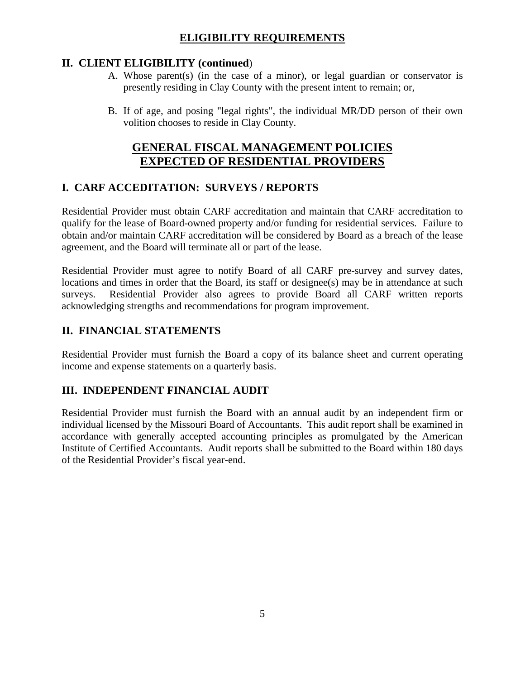# **ELIGIBILITY REQUIREMENTS**

### **II. CLIENT ELIGIBILITY (continued**)

- A. Whose parent(s) (in the case of a minor), or legal guardian or conservator is presently residing in Clay County with the present intent to remain; or,
- B. If of age, and posing "legal rights", the individual MR/DD person of their own volition chooses to reside in Clay County.

# **GENERAL FISCAL MANAGEMENT POLICIES EXPECTED OF RESIDENTIAL PROVIDERS**

### **I. CARF ACCEDITATION: SURVEYS / REPORTS**

Residential Provider must obtain CARF accreditation and maintain that CARF accreditation to qualify for the lease of Board-owned property and/or funding for residential services. Failure to obtain and/or maintain CARF accreditation will be considered by Board as a breach of the lease agreement, and the Board will terminate all or part of the lease.

Residential Provider must agree to notify Board of all CARF pre-survey and survey dates, locations and times in order that the Board, its staff or designee(s) may be in attendance at such surveys. Residential Provider also agrees to provide Board all CARF written reports acknowledging strengths and recommendations for program improvement.

### **II. FINANCIAL STATEMENTS**

Residential Provider must furnish the Board a copy of its balance sheet and current operating income and expense statements on a quarterly basis.

### **III. INDEPENDENT FINANCIAL AUDIT**

Residential Provider must furnish the Board with an annual audit by an independent firm or individual licensed by the Missouri Board of Accountants. This audit report shall be examined in accordance with generally accepted accounting principles as promulgated by the American Institute of Certified Accountants. Audit reports shall be submitted to the Board within 180 days of the Residential Provider's fiscal year-end.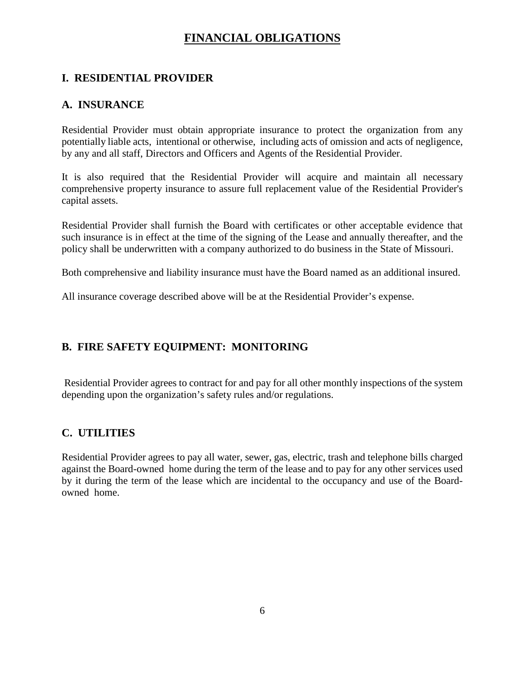# **FINANCIAL OBLIGATIONS**

### **I. RESIDENTIAL PROVIDER**

#### **A. INSURANCE**

Residential Provider must obtain appropriate insurance to protect the organization from any potentially liable acts, intentional or otherwise, including acts of omission and acts of negligence, by any and all staff, Directors and Officers and Agents of the Residential Provider.

It is also required that the Residential Provider will acquire and maintain all necessary comprehensive property insurance to assure full replacement value of the Residential Provider's capital assets.

Residential Provider shall furnish the Board with certificates or other acceptable evidence that such insurance is in effect at the time of the signing of the Lease and annually thereafter, and the policy shall be underwritten with a company authorized to do business in the State of Missouri.

Both comprehensive and liability insurance must have the Board named as an additional insured.

All insurance coverage described above will be at the Residential Provider's expense.

### **B. FIRE SAFETY EQUIPMENT: MONITORING**

Residential Provider agrees to contract for and pay for all other monthly inspections of the system depending upon the organization's safety rules and/or regulations.

#### **C. UTILITIES**

Residential Provider agrees to pay all water, sewer, gas, electric, trash and telephone bills charged against the Board-owned home during the term of the lease and to pay for any other services used by it during the term of the lease which are incidental to the occupancy and use of the Boardowned home.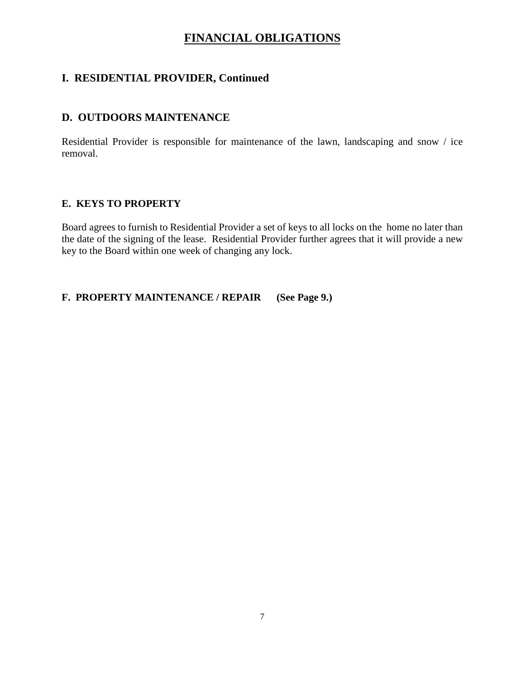# **FINANCIAL OBLIGATIONS**

### **I. RESIDENTIAL PROVIDER, Continued**

### **D. OUTDOORS MAINTENANCE**

Residential Provider is responsible for maintenance of the lawn, landscaping and snow / ice removal.

#### **E. KEYS TO PROPERTY**

Board agrees to furnish to Residential Provider a set of keys to all locks on the home no later than the date of the signing of the lease. Residential Provider further agrees that it will provide a new key to the Board within one week of changing any lock.

**F. PROPERTY MAINTENANCE / REPAIR (See Page 9.)**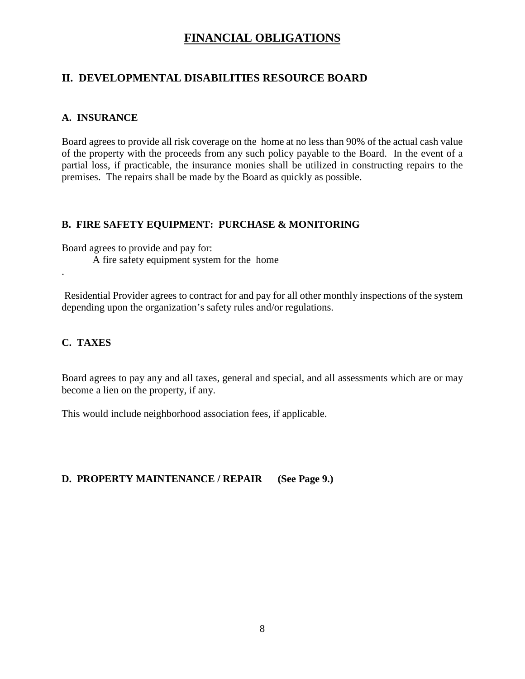# **FINANCIAL OBLIGATIONS**

# **II. DEVELOPMENTAL DISABILITIES RESOURCE BOARD**

#### **A. INSURANCE**

Board agrees to provide all risk coverage on the home at no less than 90% of the actual cash value of the property with the proceeds from any such policy payable to the Board. In the event of a partial loss, if practicable, the insurance monies shall be utilized in constructing repairs to the premises. The repairs shall be made by the Board as quickly as possible.

#### **B. FIRE SAFETY EQUIPMENT: PURCHASE & MONITORING**

Board agrees to provide and pay for: A fire safety equipment system for the home

Residential Provider agrees to contract for and pay for all other monthly inspections of the system depending upon the organization's safety rules and/or regulations.

#### **C. TAXES**

.

Board agrees to pay any and all taxes, general and special, and all assessments which are or may become a lien on the property, if any.

This would include neighborhood association fees, if applicable.

**D. PROPERTY MAINTENANCE / REPAIR (See Page 9.)**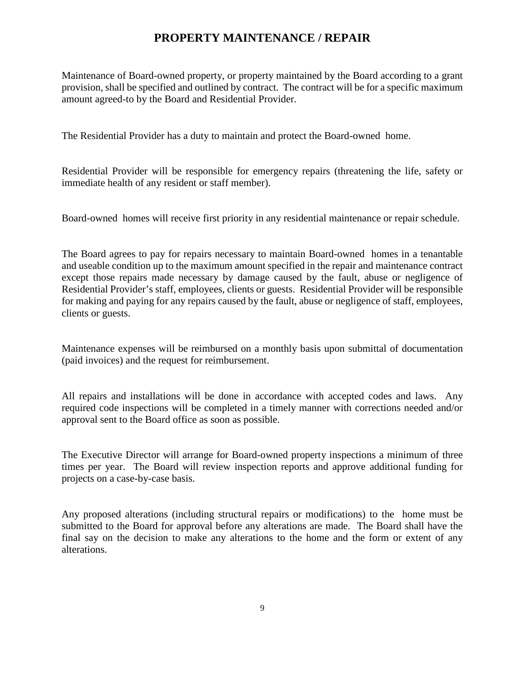### **PROPERTY MAINTENANCE / REPAIR**

Maintenance of Board-owned property, or property maintained by the Board according to a grant provision, shall be specified and outlined by contract. The contract will be for a specific maximum amount agreed-to by the Board and Residential Provider.

The Residential Provider has a duty to maintain and protect the Board-owned home.

Residential Provider will be responsible for emergency repairs (threatening the life, safety or immediate health of any resident or staff member).

Board-owned homes will receive first priority in any residential maintenance or repair schedule.

The Board agrees to pay for repairs necessary to maintain Board-owned homes in a tenantable and useable condition up to the maximum amount specified in the repair and maintenance contract except those repairs made necessary by damage caused by the fault, abuse or negligence of Residential Provider's staff, employees, clients or guests. Residential Provider will be responsible for making and paying for any repairs caused by the fault, abuse or negligence of staff, employees, clients or guests.

Maintenance expenses will be reimbursed on a monthly basis upon submittal of documentation (paid invoices) and the request for reimbursement.

All repairs and installations will be done in accordance with accepted codes and laws. Any required code inspections will be completed in a timely manner with corrections needed and/or approval sent to the Board office as soon as possible.

The Executive Director will arrange for Board-owned property inspections a minimum of three times per year. The Board will review inspection reports and approve additional funding for projects on a case-by-case basis.

Any proposed alterations (including structural repairs or modifications) to the home must be submitted to the Board for approval before any alterations are made. The Board shall have the final say on the decision to make any alterations to the home and the form or extent of any alterations.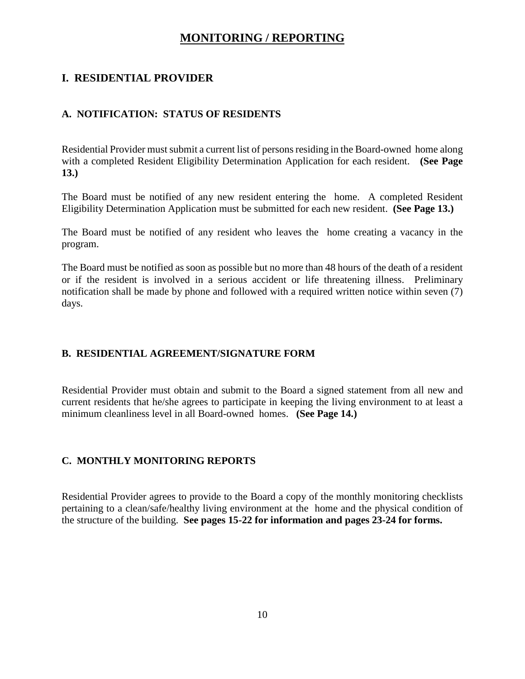### **MONITORING / REPORTING**

#### **I. RESIDENTIAL PROVIDER**

#### **A. NOTIFICATION: STATUS OF RESIDENTS**

Residential Provider must submit a current list of persons residing in the Board-owned home along with a completed Resident Eligibility Determination Application for each resident. **(See Page 13.)**

The Board must be notified of any new resident entering the home. A completed Resident Eligibility Determination Application must be submitted for each new resident. **(See Page 13.)**

The Board must be notified of any resident who leaves the home creating a vacancy in the program.

The Board must be notified as soon as possible but no more than 48 hours of the death of a resident or if the resident is involved in a serious accident or life threatening illness. Preliminary notification shall be made by phone and followed with a required written notice within seven (7) days.

#### **B. RESIDENTIAL AGREEMENT/SIGNATURE FORM**

Residential Provider must obtain and submit to the Board a signed statement from all new and current residents that he/she agrees to participate in keeping the living environment to at least a minimum cleanliness level in all Board-owned homes. **(See Page 14.)**

#### **C. MONTHLY MONITORING REPORTS**

Residential Provider agrees to provide to the Board a copy of the monthly monitoring checklists pertaining to a clean/safe/healthy living environment at the home and the physical condition of the structure of the building. **See pages 15-22 for information and pages 23-24 for forms.**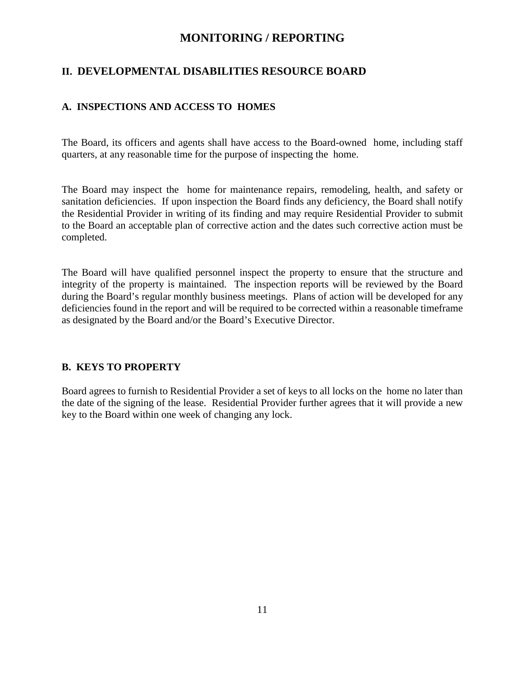#### **MONITORING / REPORTING**

#### **II. DEVELOPMENTAL DISABILITIES RESOURCE BOARD**

#### **A. INSPECTIONS AND ACCESS TO HOMES**

The Board, its officers and agents shall have access to the Board-owned home, including staff quarters, at any reasonable time for the purpose of inspecting the home.

The Board may inspect the home for maintenance repairs, remodeling, health, and safety or sanitation deficiencies. If upon inspection the Board finds any deficiency, the Board shall notify the Residential Provider in writing of its finding and may require Residential Provider to submit to the Board an acceptable plan of corrective action and the dates such corrective action must be completed.

The Board will have qualified personnel inspect the property to ensure that the structure and integrity of the property is maintained. The inspection reports will be reviewed by the Board during the Board's regular monthly business meetings. Plans of action will be developed for any deficiencies found in the report and will be required to be corrected within a reasonable timeframe as designated by the Board and/or the Board's Executive Director.

#### **B. KEYS TO PROPERTY**

Board agrees to furnish to Residential Provider a set of keys to all locks on the home no later than the date of the signing of the lease. Residential Provider further agrees that it will provide a new key to the Board within one week of changing any lock.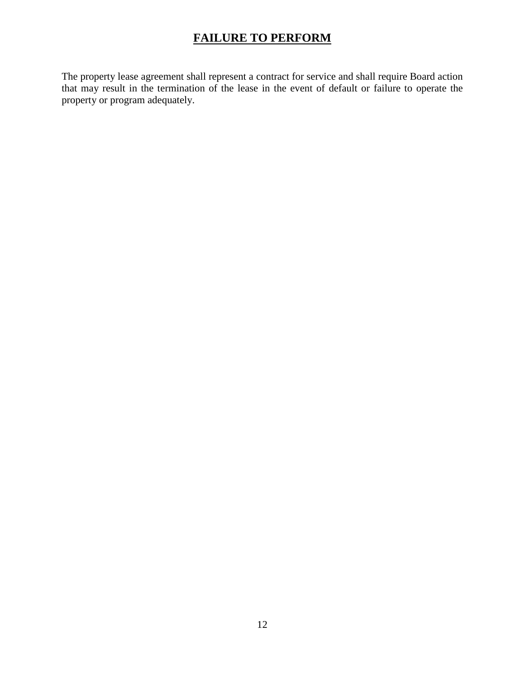# **FAILURE TO PERFORM**

The property lease agreement shall represent a contract for service and shall require Board action that may result in the termination of the lease in the event of default or failure to operate the property or program adequately.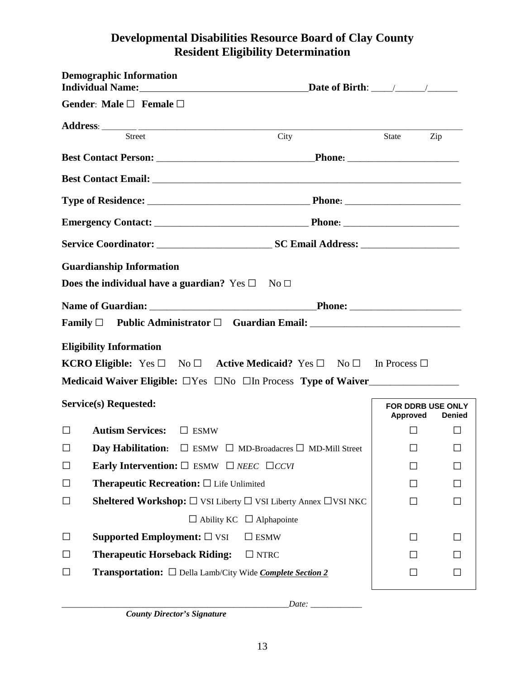# **Developmental Disabilities Resource Board of Clay County Resident Eligibility Determination**

|        | <b>Demographic Information</b><br>Individual Name: Date of Birth: \Residential Name: \Residential Name: \Residential Name: \Residential Name \Residential Name \Residential Name \Residential Name \Residential Name \Residential Name \Residential Name \Reside |                          |     |                          |
|--------|------------------------------------------------------------------------------------------------------------------------------------------------------------------------------------------------------------------------------------------------------------------|--------------------------|-----|--------------------------|
|        | Gender: Male $\square$ Female $\square$                                                                                                                                                                                                                          |                          |     |                          |
|        |                                                                                                                                                                                                                                                                  |                          |     |                          |
|        | <b>Street</b><br>City                                                                                                                                                                                                                                            | State                    | Zip |                          |
|        |                                                                                                                                                                                                                                                                  |                          |     |                          |
|        |                                                                                                                                                                                                                                                                  |                          |     |                          |
|        |                                                                                                                                                                                                                                                                  |                          |     |                          |
|        |                                                                                                                                                                                                                                                                  |                          |     |                          |
|        |                                                                                                                                                                                                                                                                  |                          |     |                          |
|        | <b>Guardianship Information</b>                                                                                                                                                                                                                                  |                          |     |                          |
|        | Does the individual have a guardian? Yes $\square$ No $\square$                                                                                                                                                                                                  |                          |     |                          |
|        |                                                                                                                                                                                                                                                                  |                          |     |                          |
|        | Family $\Box$ Public Administrator $\Box$ Guardian Email: ___________________________                                                                                                                                                                            |                          |     |                          |
|        | <b>Eligibility Information</b>                                                                                                                                                                                                                                   |                          |     |                          |
|        | <b>KCRO Eligible:</b> Yes $\Box$ No $\Box$ <b>Active Medicaid?</b> Yes $\Box$ No $\Box$ In Process $\Box$                                                                                                                                                        |                          |     |                          |
|        | Medicaid Waiver Eligible: □ Yes □ No □ In Process Type of Waiver                                                                                                                                                                                                 |                          |     |                          |
|        | Service(s) Requested:                                                                                                                                                                                                                                            | <b>FOR DDRB USE ONLY</b> |     |                          |
| $\Box$ | Autism Services: □ ESMW                                                                                                                                                                                                                                          | Approved<br>$\Box$       |     | <b>Denied</b><br>$\perp$ |
| □      | <b>Day Habilitation:</b> $\Box$ ESMW $\Box$ MD-Broadacres $\Box$ MD-Mill Street                                                                                                                                                                                  | $\Box$                   |     | Ш                        |
| $\Box$ | <b>Early Intervention:</b> $\square$ ESMW $\square$ <i>NEEC</i> $\square$ <i>CCVI</i>                                                                                                                                                                            |                          |     | ΙI                       |
| $\Box$ | Therapeutic Recreation: $\square$ Life Unlimited                                                                                                                                                                                                                 |                          |     |                          |
| Ц      | <b>Sheltered Workshop:</b> $\Box$ VSI Liberty $\Box$ VSI Liberty Annex $\Box$ VSI NKC                                                                                                                                                                            | $\perp$                  |     | П                        |
|        | $\Box$ Ability KC $\Box$ Alphapointe                                                                                                                                                                                                                             |                          |     |                          |
| $\Box$ | Supported Employment: $\square$ VSI<br>$\square$ ESMW                                                                                                                                                                                                            | $\perp$                  |     |                          |
| $\Box$ | <b>Therapeutic Horseback Riding:</b><br>$\Box$ NTRC                                                                                                                                                                                                              |                          |     |                          |
| Ц      | <b>Transportation:</b> □ Della Lamb/City Wide <i>Complete Section 2</i>                                                                                                                                                                                          | $\Box$                   |     |                          |
|        |                                                                                                                                                                                                                                                                  |                          |     |                          |

 *County Director's Signature*

*\_\_\_\_\_\_\_\_\_\_\_\_\_\_\_\_\_\_\_\_\_\_\_\_\_\_\_\_\_\_\_\_\_\_\_\_\_\_\_\_\_\_\_\_\_\_\_\_\_\_\_\_\_Date: \_\_\_\_\_\_\_\_\_\_\_\_*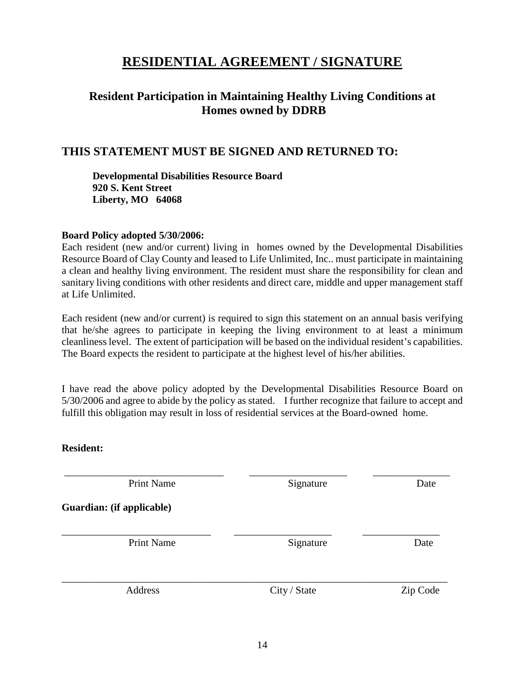# **RESIDENTIAL AGREEMENT / SIGNATURE**

# **Resident Participation in Maintaining Healthy Living Conditions at Homes owned by DDRB**

# **THIS STATEMENT MUST BE SIGNED AND RETURNED TO:**

**Developmental Disabilities Resource Board 920 S. Kent Street Liberty, MO 64068**

#### **Board Policy adopted 5/30/2006:**

Each resident (new and/or current) living in homes owned by the Developmental Disabilities Resource Board of Clay County and leased to Life Unlimited, Inc.. must participate in maintaining a clean and healthy living environment. The resident must share the responsibility for clean and sanitary living conditions with other residents and direct care, middle and upper management staff at Life Unlimited.

Each resident (new and/or current) is required to sign this statement on an annual basis verifying that he/she agrees to participate in keeping the living environment to at least a minimum cleanliness level. The extent of participation will be based on the individual resident's capabilities. The Board expects the resident to participate at the highest level of his/her abilities.

I have read the above policy adopted by the Developmental Disabilities Resource Board on 5/30/2006 and agree to abide by the policy as stated. I further recognize that failure to accept and fulfill this obligation may result in loss of residential services at the Board-owned home.

#### **Resident:**

| <b>Print Name</b>         | Signature    | Date     |
|---------------------------|--------------|----------|
| Guardian: (if applicable) |              |          |
| <b>Print Name</b>         | Signature    | Date     |
| Address                   | City / State | Zip Code |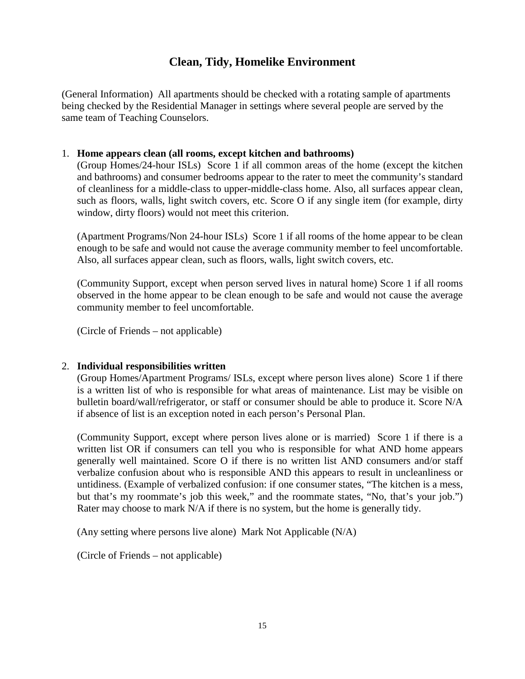# **Clean, Tidy, Homelike Environment**

(General Information) All apartments should be checked with a rotating sample of apartments being checked by the Residential Manager in settings where several people are served by the same team of Teaching Counselors.

#### 1. **Home appears clean (all rooms, except kitchen and bathrooms)**

(Group Homes/24-hour ISLs) Score 1 if all common areas of the home (except the kitchen and bathrooms) and consumer bedrooms appear to the rater to meet the community's standard of cleanliness for a middle-class to upper-middle-class home. Also, all surfaces appear clean, such as floors, walls, light switch covers, etc. Score O if any single item (for example, dirty window, dirty floors) would not meet this criterion.

(Apartment Programs/Non 24-hour ISLs) Score 1 if all rooms of the home appear to be clean enough to be safe and would not cause the average community member to feel uncomfortable. Also, all surfaces appear clean, such as floors, walls, light switch covers, etc.

(Community Support, except when person served lives in natural home) Score 1 if all rooms observed in the home appear to be clean enough to be safe and would not cause the average community member to feel uncomfortable.

(Circle of Friends – not applicable)

#### 2. **Individual responsibilities written**

(Group Homes/Apartment Programs/ ISLs, except where person lives alone) Score 1 if there is a written list of who is responsible for what areas of maintenance. List may be visible on bulletin board/wall/refrigerator, or staff or consumer should be able to produce it. Score N/A if absence of list is an exception noted in each person's Personal Plan.

(Community Support, except where person lives alone or is married) Score 1 if there is a written list OR if consumers can tell you who is responsible for what AND home appears generally well maintained. Score O if there is no written list AND consumers and/or staff verbalize confusion about who is responsible AND this appears to result in uncleanliness or untidiness. (Example of verbalized confusion: if one consumer states, "The kitchen is a mess, but that's my roommate's job this week," and the roommate states, "No, that's your job.") Rater may choose to mark N/A if there is no system, but the home is generally tidy.

(Any setting where persons live alone) Mark Not Applicable (N/A)

(Circle of Friends – not applicable)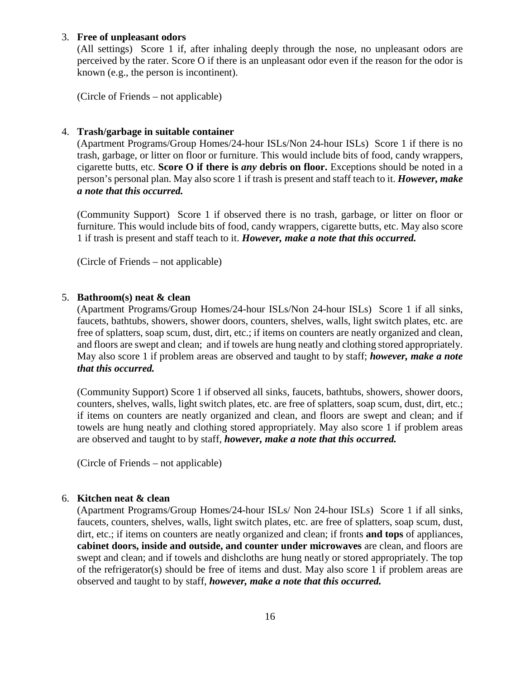#### 3. **Free of unpleasant odors**

(All settings) Score 1 if, after inhaling deeply through the nose, no unpleasant odors are perceived by the rater. Score O if there is an unpleasant odor even if the reason for the odor is known (e.g., the person is incontinent).

(Circle of Friends – not applicable)

#### 4. **Trash/garbage in suitable container**

(Apartment Programs/Group Homes/24-hour ISLs/Non 24-hour ISLs) Score 1 if there is no trash, garbage, or litter on floor or furniture. This would include bits of food, candy wrappers, cigarette butts, etc. **Score O if there is** *any* **debris on floor.** Exceptions should be noted in a person's personal plan. May also score 1 if trash is present and staff teach to it. *However, make a note that this occurred.*

(Community Support) Score 1 if observed there is no trash, garbage, or litter on floor or furniture. This would include bits of food, candy wrappers, cigarette butts, etc. May also score 1 if trash is present and staff teach to it. *However, make a note that this occurred.*

(Circle of Friends – not applicable)

#### 5. **Bathroom(s) neat & clean**

(Apartment Programs/Group Homes/24-hour ISLs/Non 24-hour ISLs) Score 1 if all sinks, faucets, bathtubs, showers, shower doors, counters, shelves, walls, light switch plates, etc. are free of splatters, soap scum, dust, dirt, etc.; if items on counters are neatly organized and clean, and floors are swept and clean; and if towels are hung neatly and clothing stored appropriately. May also score 1 if problem areas are observed and taught to by staff; *however, make a note that this occurred.*

(Community Support) Score 1 if observed all sinks, faucets, bathtubs, showers, shower doors, counters, shelves, walls, light switch plates, etc. are free of splatters, soap scum, dust, dirt, etc.; if items on counters are neatly organized and clean, and floors are swept and clean; and if towels are hung neatly and clothing stored appropriately. May also score 1 if problem areas are observed and taught to by staff, *however, make a note that this occurred.*

(Circle of Friends – not applicable)

#### 6. **Kitchen neat & clean**

(Apartment Programs/Group Homes/24-hour ISLs/ Non 24-hour ISLs) Score 1 if all sinks, faucets, counters, shelves, walls, light switch plates, etc. are free of splatters, soap scum, dust, dirt, etc.; if items on counters are neatly organized and clean; if fronts **and tops** of appliances, **cabinet doors, inside and outside, and counter under microwaves** are clean, and floors are swept and clean; and if towels and dishcloths are hung neatly or stored appropriately. The top of the refrigerator(s) should be free of items and dust. May also score 1 if problem areas are observed and taught to by staff, *however, make a note that this occurred.*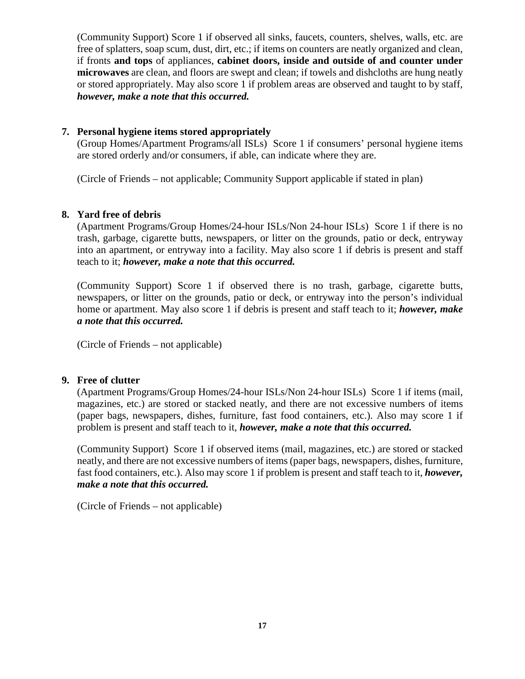(Community Support) Score 1 if observed all sinks, faucets, counters, shelves, walls, etc. are free of splatters, soap scum, dust, dirt, etc.; if items on counters are neatly organized and clean, if fronts **and tops** of appliances, **cabinet doors, inside and outside of and counter under microwaves** are clean, and floors are swept and clean; if towels and dishcloths are hung neatly or stored appropriately. May also score 1 if problem areas are observed and taught to by staff, *however, make a note that this occurred.*

#### **7. Personal hygiene items stored appropriately**

(Group Homes/Apartment Programs/all ISLs) Score 1 if consumers' personal hygiene items are stored orderly and/or consumers, if able, can indicate where they are.

(Circle of Friends – not applicable; Community Support applicable if stated in plan)

#### **8. Yard free of debris**

(Apartment Programs/Group Homes/24-hour ISLs/Non 24-hour ISLs) Score 1 if there is no trash, garbage, cigarette butts, newspapers, or litter on the grounds, patio or deck, entryway into an apartment, or entryway into a facility. May also score 1 if debris is present and staff teach to it; *however, make a note that this occurred.*

(Community Support) Score 1 if observed there is no trash, garbage, cigarette butts, newspapers, or litter on the grounds, patio or deck, or entryway into the person's individual home or apartment. May also score 1 if debris is present and staff teach to it; *however, make a note that this occurred.*

(Circle of Friends – not applicable)

#### **9. Free of clutter**

(Apartment Programs/Group Homes/24-hour ISLs/Non 24-hour ISLs) Score 1 if items (mail, magazines, etc.) are stored or stacked neatly, and there are not excessive numbers of items (paper bags, newspapers, dishes, furniture, fast food containers, etc.). Also may score 1 if problem is present and staff teach to it, *however, make a note that this occurred.*

(Community Support) Score 1 if observed items (mail, magazines, etc.) are stored or stacked neatly, and there are not excessive numbers of items (paper bags, newspapers, dishes, furniture, fast food containers, etc.). Also may score 1 if problem is present and staff teach to it, *however, make a note that this occurred.*

(Circle of Friends – not applicable)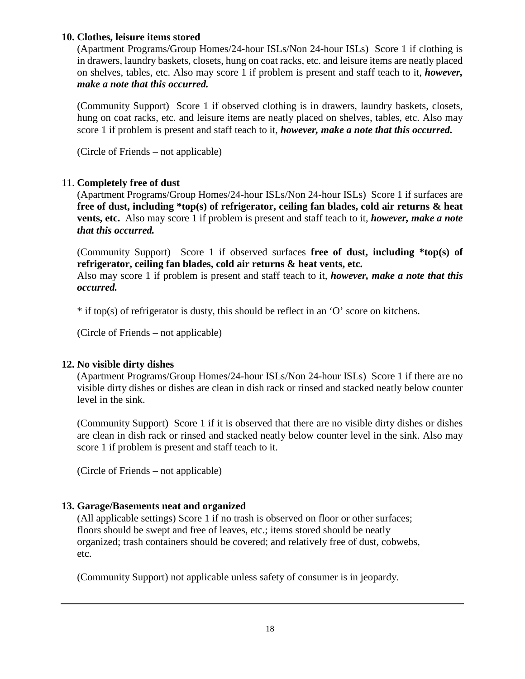#### **10. Clothes, leisure items stored**

(Apartment Programs/Group Homes/24-hour ISLs/Non 24-hour ISLs) Score 1 if clothing is in drawers, laundry baskets, closets, hung on coat racks, etc. and leisure items are neatly placed on shelves, tables, etc. Also may score 1 if problem is present and staff teach to it, *however, make a note that this occurred.*

(Community Support) Score 1 if observed clothing is in drawers, laundry baskets, closets, hung on coat racks, etc. and leisure items are neatly placed on shelves, tables, etc. Also may score 1 if problem is present and staff teach to it, *however, make a note that this occurred.*

(Circle of Friends – not applicable)

#### 11. **Completely free of dust**

(Apartment Programs/Group Homes/24-hour ISLs/Non 24-hour ISLs) Score 1 if surfaces are **free of dust, including \*top(s) of refrigerator, ceiling fan blades, cold air returns & heat vents, etc.** Also may score 1 if problem is present and staff teach to it, *however, make a note that this occurred.*

(Community Support) Score 1 if observed surfaces **free of dust, including \*top(s) of refrigerator, ceiling fan blades, cold air returns & heat vents, etc.**

Also may score 1 if problem is present and staff teach to it, *however, make a note that this occurred.*

\* if top(s) of refrigerator is dusty, this should be reflect in an 'O' score on kitchens.

(Circle of Friends – not applicable)

#### **12. No visible dirty dishes**

(Apartment Programs/Group Homes/24-hour ISLs/Non 24-hour ISLs) Score 1 if there are no visible dirty dishes or dishes are clean in dish rack or rinsed and stacked neatly below counter level in the sink.

(Community Support) Score 1 if it is observed that there are no visible dirty dishes or dishes are clean in dish rack or rinsed and stacked neatly below counter level in the sink. Also may score 1 if problem is present and staff teach to it.

(Circle of Friends – not applicable)

#### **13. Garage/Basements neat and organized**

(All applicable settings) Score 1 if no trash is observed on floor or other surfaces; floors should be swept and free of leaves, etc.; items stored should be neatly organized; trash containers should be covered; and relatively free of dust, cobwebs, etc.

(Community Support) not applicable unless safety of consumer is in jeopardy.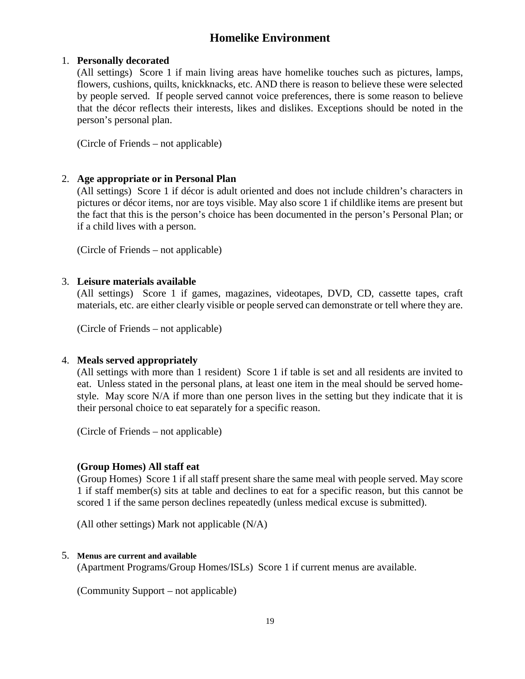# **Homelike Environment**

#### 1. **Personally decorated**

(All settings) Score 1 if main living areas have homelike touches such as pictures, lamps, flowers, cushions, quilts, knickknacks, etc. AND there is reason to believe these were selected by people served. If people served cannot voice preferences, there is some reason to believe that the décor reflects their interests, likes and dislikes. Exceptions should be noted in the person's personal plan.

(Circle of Friends – not applicable)

#### 2. **Age appropriate or in Personal Plan**

(All settings) Score 1 if décor is adult oriented and does not include children's characters in pictures or décor items, nor are toys visible. May also score 1 if childlike items are present but the fact that this is the person's choice has been documented in the person's Personal Plan; or if a child lives with a person.

(Circle of Friends – not applicable)

#### 3. **Leisure materials available**

(All settings) Score 1 if games, magazines, videotapes, DVD, CD, cassette tapes, craft materials, etc. are either clearly visible or people served can demonstrate or tell where they are.

(Circle of Friends – not applicable)

#### 4. **Meals served appropriately**

(All settings with more than 1 resident) Score 1 if table is set and all residents are invited to eat. Unless stated in the personal plans, at least one item in the meal should be served homestyle. May score N/A if more than one person lives in the setting but they indicate that it is their personal choice to eat separately for a specific reason.

(Circle of Friends – not applicable)

#### **(Group Homes) All staff eat**

(Group Homes) Score 1 if all staff present share the same meal with people served. May score 1 if staff member(s) sits at table and declines to eat for a specific reason, but this cannot be scored 1 if the same person declines repeatedly (unless medical excuse is submitted).

(All other settings) Mark not applicable (N/A)

#### 5. **Menus are current and available**

(Apartment Programs/Group Homes/ISLs) Score 1 if current menus are available.

(Community Support – not applicable)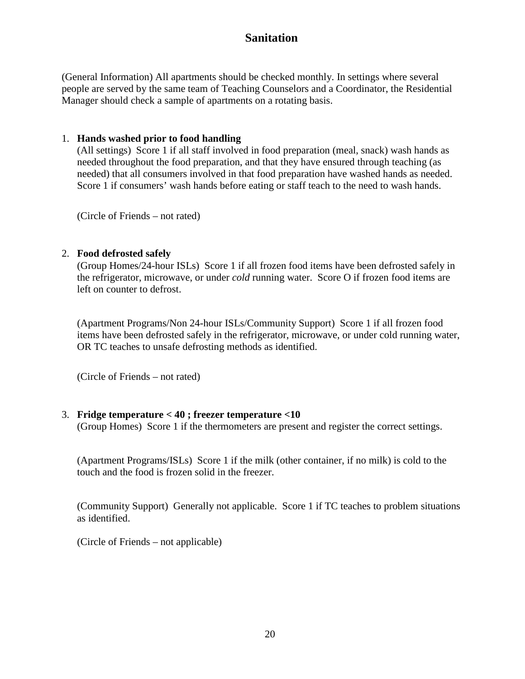# **Sanitation**

(General Information) All apartments should be checked monthly. In settings where several people are served by the same team of Teaching Counselors and a Coordinator, the Residential Manager should check a sample of apartments on a rotating basis.

#### 1. **Hands washed prior to food handling**

(All settings) Score 1 if all staff involved in food preparation (meal, snack) wash hands as needed throughout the food preparation, and that they have ensured through teaching (as needed) that all consumers involved in that food preparation have washed hands as needed. Score 1 if consumers' wash hands before eating or staff teach to the need to wash hands.

(Circle of Friends – not rated)

#### 2. **Food defrosted safely**

(Group Homes/24-hour ISLs) Score 1 if all frozen food items have been defrosted safely in the refrigerator, microwave, or under *cold* running water. Score O if frozen food items are left on counter to defrost.

(Apartment Programs/Non 24-hour ISLs/Community Support) Score 1 if all frozen food items have been defrosted safely in the refrigerator, microwave, or under cold running water, OR TC teaches to unsafe defrosting methods as identified.

(Circle of Friends – not rated)

#### 3. **Fridge temperature < 40 ; freezer temperature <10**

(Group Homes) Score 1 if the thermometers are present and register the correct settings.

(Apartment Programs/ISLs) Score 1 if the milk (other container, if no milk) is cold to the touch and the food is frozen solid in the freezer.

(Community Support) Generally not applicable. Score 1 if TC teaches to problem situations as identified.

(Circle of Friends – not applicable)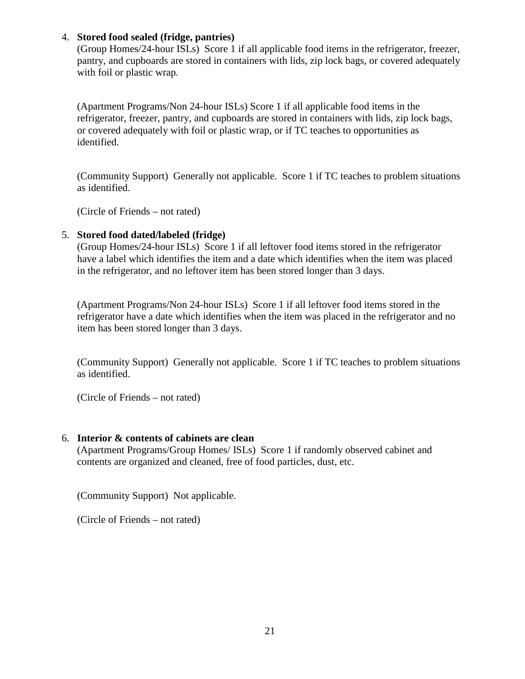#### 4. **Stored food sealed (fridge, pantries)**

(Group Homes/24-hour ISLs) Score 1 if all applicable food items in the refrigerator, freezer, pantry, and cupboards are stored in containers with lids, zip lock bags, or covered adequately with foil or plastic wrap.

(Apartment Programs/Non 24-hour ISLs) Score 1 if all applicable food items in the refrigerator, freezer, pantry, and cupboards are stored in containers with lids, zip lock bags, or covered adequately with foil or plastic wrap, or if TC teaches to opportunities as identified.

(Community Support) Generally not applicable. Score 1 if TC teaches to problem situations as identified.

(Circle of Friends – not rated)

#### 5. **Stored food dated/labeled (fridge)**

(Group Homes/24-hour ISLs) Score 1 if all leftover food items stored in the refrigerator have a label which identifies the item and a date which identifies when the item was placed in the refrigerator, and no leftover item has been stored longer than 3 days.

(Apartment Programs/Non 24-hour ISLs) Score 1 if all leftover food items stored in the refrigerator have a date which identifies when the item was placed in the refrigerator and no item has been stored longer than 3 days.

(Community Support) Generally not applicable. Score 1 if TC teaches to problem situations as identified.

(Circle of Friends – not rated)

#### 6. **Interior & contents of cabinets are clean**

(Apartment Programs/Group Homes/ ISLs) Score 1 if randomly observed cabinet and contents are organized and cleaned, free of food particles, dust, etc.

(Community Support) Not applicable.

(Circle of Friends – not rated)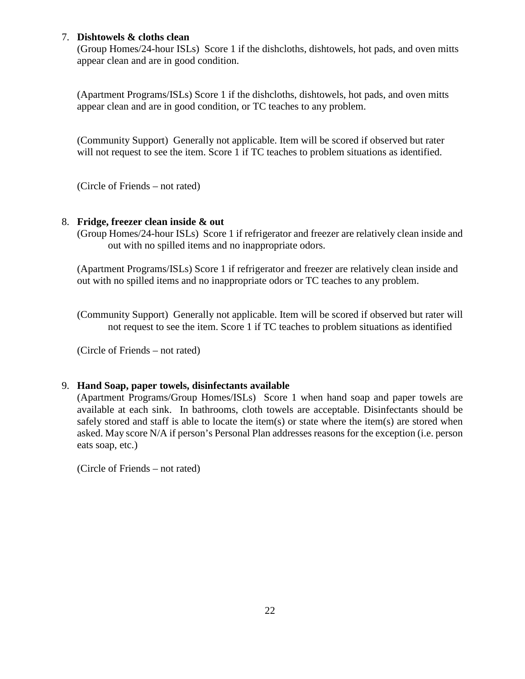#### 7. **Dishtowels & cloths clean**

(Group Homes/24-hour ISLs) Score 1 if the dishcloths, dishtowels, hot pads, and oven mitts appear clean and are in good condition.

(Apartment Programs/ISLs) Score 1 if the dishcloths, dishtowels, hot pads, and oven mitts appear clean and are in good condition, or TC teaches to any problem.

(Community Support) Generally not applicable. Item will be scored if observed but rater will not request to see the item. Score 1 if TC teaches to problem situations as identified.

(Circle of Friends – not rated)

#### 8. **Fridge, freezer clean inside & out**

(Group Homes/24-hour ISLs) Score 1 if refrigerator and freezer are relatively clean inside and out with no spilled items and no inappropriate odors.

(Apartment Programs/ISLs) Score 1 if refrigerator and freezer are relatively clean inside and out with no spilled items and no inappropriate odors or TC teaches to any problem.

(Community Support) Generally not applicable. Item will be scored if observed but rater will not request to see the item. Score 1 if TC teaches to problem situations as identified

(Circle of Friends – not rated)

#### 9. **Hand Soap, paper towels, disinfectants available**

(Apartment Programs/Group Homes/ISLs) Score 1 when hand soap and paper towels are available at each sink. In bathrooms, cloth towels are acceptable. Disinfectants should be safely stored and staff is able to locate the item(s) or state where the item(s) are stored when asked. May score N/A if person's Personal Plan addresses reasons for the exception (i.e. person eats soap, etc.)

(Circle of Friends – not rated)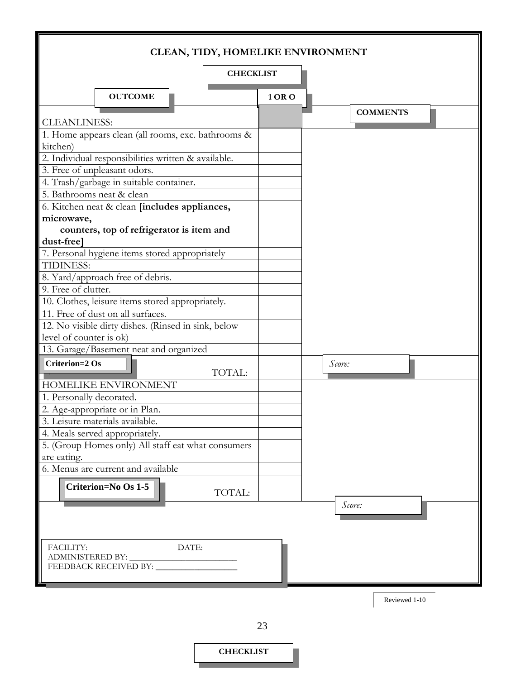|                           |                                                                                     |                  |        | CLEAN, TIDY, HOMELIKE ENVIRONMENT |  |
|---------------------------|-------------------------------------------------------------------------------------|------------------|--------|-----------------------------------|--|
|                           |                                                                                     | <b>CHECKLIST</b> |        |                                   |  |
|                           | <b>OUTCOME</b>                                                                      |                  | 1 OR O |                                   |  |
| <b>CLEANLINESS:</b>       |                                                                                     |                  |        | <b>COMMENTS</b>                   |  |
|                           | 1. Home appears clean (all rooms, exc. bathrooms &                                  |                  |        |                                   |  |
| kitchen)                  |                                                                                     |                  |        |                                   |  |
|                           | 2. Individual responsibilities written & available.<br>3. Free of unpleasant odors. |                  |        |                                   |  |
|                           | 4. Trash/garbage in suitable container.                                             |                  |        |                                   |  |
| 5. Bathrooms neat & clean |                                                                                     |                  |        |                                   |  |
|                           | 6. Kitchen neat & clean [includes appliances,                                       |                  |        |                                   |  |
| microwave,                |                                                                                     |                  |        |                                   |  |
|                           | counters, top of refrigerator is item and                                           |                  |        |                                   |  |
| dust-free]                |                                                                                     |                  |        |                                   |  |
|                           | 7. Personal hygiene items stored appropriately                                      |                  |        |                                   |  |
| TIDINESS:                 |                                                                                     |                  |        |                                   |  |
|                           | 8. Yard/approach free of debris.                                                    |                  |        |                                   |  |
| 9. Free of clutter.       |                                                                                     |                  |        |                                   |  |
|                           | 10. Clothes, leisure items stored appropriately.                                    |                  |        |                                   |  |
|                           | 11. Free of dust on all surfaces.                                                   |                  |        |                                   |  |
| level of counter is ok)   | 12. No visible dirty dishes. (Rinsed in sink, below                                 |                  |        |                                   |  |
|                           | 13. Garage/Basement neat and organized                                              |                  |        |                                   |  |
| <b>Criterion=2 Os</b>     |                                                                                     |                  |        | Score:                            |  |
|                           |                                                                                     | TOTAL:           |        |                                   |  |
|                           | HOMELIKE ENVIRONMENT                                                                |                  |        |                                   |  |
| 1. Personally decorated.  |                                                                                     |                  |        |                                   |  |
|                           | 2. Age-appropriate or in Plan.                                                      |                  |        |                                   |  |
|                           | 3. Leisure materials available.                                                     |                  |        |                                   |  |
|                           | 4. Meals served appropriately.                                                      |                  |        |                                   |  |
|                           | 5. (Group Homes only) All staff eat what consumers                                  |                  |        |                                   |  |
| are eating.               |                                                                                     |                  |        |                                   |  |
|                           | 6. Menus are current and available                                                  |                  |        |                                   |  |
|                           | <b>Criterion=No Os 1-5</b>                                                          | TOTAL:           |        |                                   |  |
|                           |                                                                                     |                  |        | Score:                            |  |
|                           |                                                                                     |                  |        |                                   |  |
| FACILITY:                 | DATE:                                                                               |                  |        |                                   |  |
| ADMINISTERED BY:          | FEEDBACK RECEIVED BY:                                                               |                  |        |                                   |  |
|                           |                                                                                     |                  |        |                                   |  |
|                           |                                                                                     |                  |        |                                   |  |

Reviewed 1-10